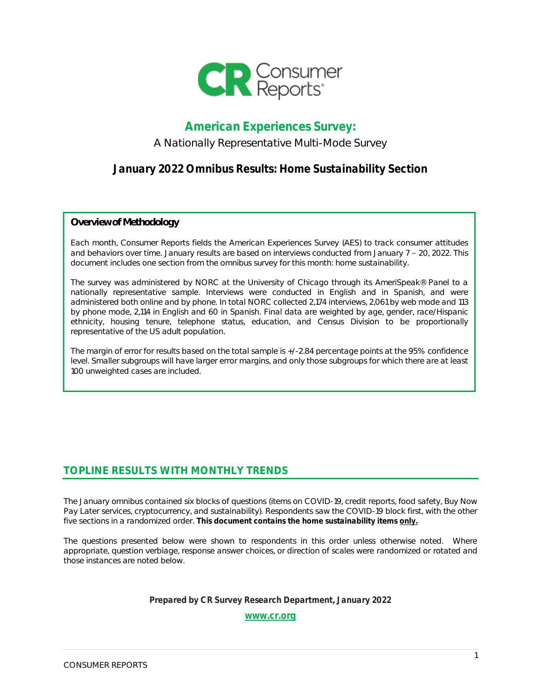

## American Experiences Survey:

### A Nationally Representative Multi-Mode Survey

## January 2022 Omnibus Results: Home Sustainability Section

*Overview of Methodology*

Each month, Consumer Reports fields the American Experiences Survey (AES) to track consumer attitudes and behaviors over time. January results are based on interviews conducted from January  $7 - 20$ , 2022. This document includes one section from the omnibus survey for this month: home sustainability.

The survey was administered by NORC at the University of Chicago through its AmeriSpeak® Panel to a nationally representative sample. Interviews were conducted in English and in Spanish, and were administered both online and by phone. In total NORC collected 2,174 interviews, 2,061 by web mode and 113 by phone mode, 2,114 in English and 60 in Spanish. Final data are weighted by age, gender, race/Hispanic ethnicity, housing tenure, telephone status, education, and Census Division to be proportionally representative of the US adult population.

The margin of error for results based on the total sample is +/-2.84 percentage points at the 95% confidence level. Smaller subgroups will have larger error margins, and only those subgroups for which there are at least 100 unweighted cases are included.

## **TOPLINE RESULTS WITH MONTHLY TRENDS**

The January omnibus contained six blocks of questions (items on COVID-19, credit reports, food safety, Buy Now Pay Later services, cryptocurrency, and sustainability). Respondents saw the COVID-19 block first, with the other five sections in a randomized order. **This document contains the home sustainability items only.**

The questions presented below were shown to respondents in this order unless otherwise noted. Where appropriate, question verbiage, response answer choices, or direction of scales were randomized or rotated and those instances are noted below.

#### Prepared by CR Survey Research Department, January 2022

[www.cr.org](http://www.cr.org/)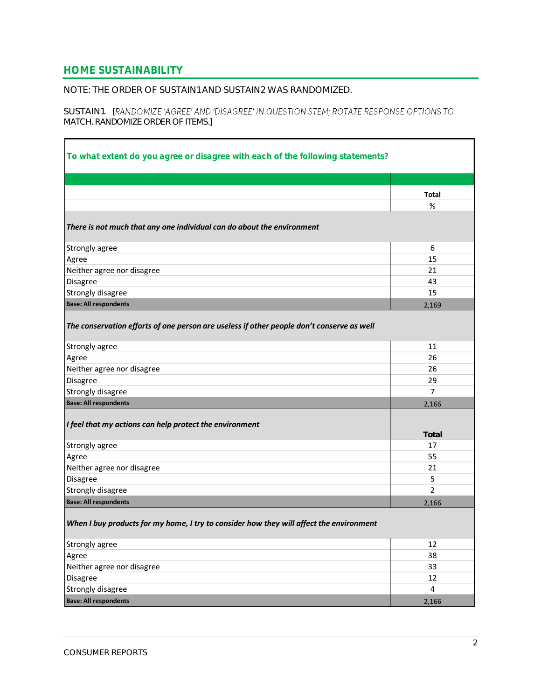### **HOME SUSTAINABILITY**

 $\blacksquare$ 

NOTE: THE ORDER OF SUSTAIN1 AND SUSTAIN2 WAS RANDOMIZED.

SUSTAIN1. [RANDOMIZE 'AGREE' AND 'DISAGREE' IN QUESTION STEM; ROTATE RESPONSE OPTIONS TO *MATCH. RANDOMIZE ORDER OF ITEMS.]*

| To what extent do you agree or disagree with each of the following statements?            |                |
|-------------------------------------------------------------------------------------------|----------------|
|                                                                                           |                |
|                                                                                           | <b>Total</b>   |
|                                                                                           | %              |
|                                                                                           |                |
| There is not much that any one individual can do about the environment                    |                |
| Strongly agree                                                                            | 6              |
| Agree                                                                                     | 15             |
| Neither agree nor disagree                                                                | 21             |
| Disagree                                                                                  | 43             |
| Strongly disagree                                                                         | 15             |
| <b>Base: All respondents</b>                                                              | 2,169          |
| The conservation efforts of one person are useless if other people don't conserve as well |                |
| Strongly agree                                                                            | 11             |
| Agree                                                                                     | 26             |
| Neither agree nor disagree                                                                | 26             |
| Disagree                                                                                  | 29             |
| Strongly disagree                                                                         | 7              |
| <b>Base: All respondents</b>                                                              | 2,166          |
| I feel that my actions can help protect the environment                                   | Total          |
| Strongly agree                                                                            | 17             |
| Agree                                                                                     | 55             |
| Neither agree nor disagree                                                                | 21             |
| Disagree                                                                                  | 5              |
| Strongly disagree                                                                         | $\overline{2}$ |
| <b>Base: All respondents</b>                                                              | 2,166          |
| When I buy products for my home, I try to consider how they will affect the environment   |                |
| Strongly agree                                                                            | 12             |
| Agree                                                                                     | 38             |
| Neither agree nor disagree                                                                | 33             |
| Disagree                                                                                  | 12             |
| Strongly disagree                                                                         | $\overline{4}$ |
| <b>Base: All respondents</b>                                                              | 2,166          |

h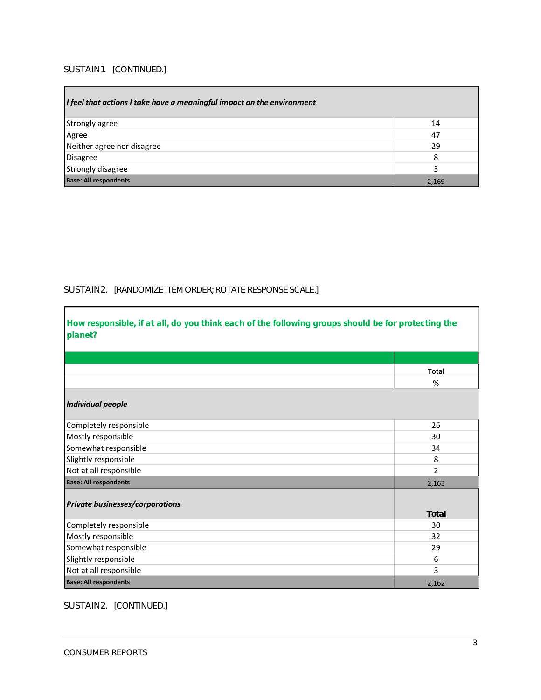#### SUSTAIN1. *[CONTINUED.]*

| I feel that actions I take have a meaningful impact on the environment |       |
|------------------------------------------------------------------------|-------|
| Strongly agree                                                         | 14    |
| Agree                                                                  | 47    |
| Neither agree nor disagree                                             | 29    |
| Disagree                                                               | 8     |
| Strongly disagree                                                      |       |
| <b>Base: All respondents</b>                                           | 2,169 |

#### SUSTAIN2. *[RANDOMIZE ITEM ORDER; ROTATE RESPONSE SCALE.]*

| How responsible, if at all, do you think each of the following groups should be for protecting the<br>planet? |              |
|---------------------------------------------------------------------------------------------------------------|--------------|
|                                                                                                               |              |
|                                                                                                               | <b>Total</b> |
|                                                                                                               | %            |
| <b>Individual people</b>                                                                                      |              |
| Completely responsible                                                                                        | 26           |
| Mostly responsible                                                                                            | 30           |
| Somewhat responsible                                                                                          | 34           |
| Slightly responsible                                                                                          | 8            |
| Not at all responsible                                                                                        | 2            |
| <b>Base: All respondents</b>                                                                                  | 2,163        |
| <b>Private businesses/corporations</b>                                                                        | Total        |
| Completely responsible                                                                                        | 30           |
| Mostly responsible                                                                                            | 32           |
| Somewhat responsible                                                                                          | 29           |
| Slightly responsible                                                                                          | 6            |
| Not at all responsible                                                                                        | 3            |
| <b>Base: All respondents</b>                                                                                  | 2,162        |

### SUSTAIN2. *[CONTINUED.]*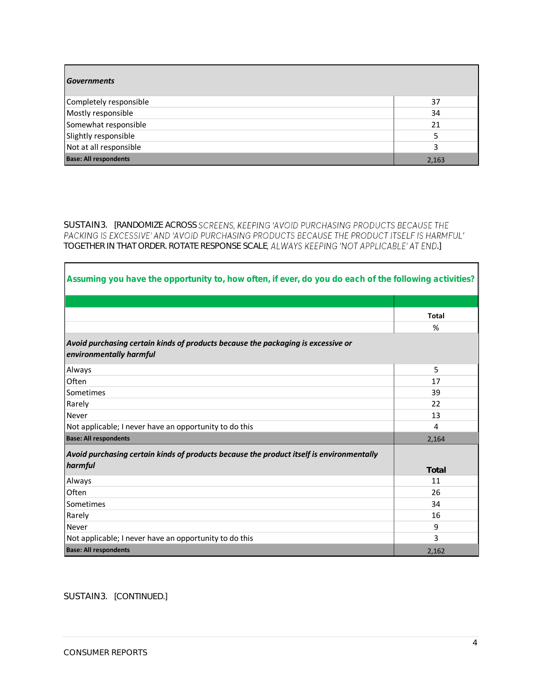| <b>Governments</b>           |       |
|------------------------------|-------|
| Completely responsible       | 37    |
| Mostly responsible           | 34    |
| Somewhat responsible         | 21    |
| Slightly responsible         |       |
| Not at all responsible       |       |
| <b>Base: All respondents</b> | 2,163 |

SUSTAIN3. *[RANDOMIZE ACROSS TOGETHER IN THAT ORDER. ROTATE RESPONSE SCALE .]*

| Assuming you have the opportunity to, how often, if ever, do you do each of the following activities?       |              |
|-------------------------------------------------------------------------------------------------------------|--------------|
|                                                                                                             |              |
|                                                                                                             | <b>Total</b> |
|                                                                                                             | %            |
| Avoid purchasing certain kinds of products because the packaging is excessive or<br>environmentally harmful |              |
| Always                                                                                                      | 5            |
| Often                                                                                                       | 17           |
| Sometimes                                                                                                   | 39           |
| Rarely                                                                                                      | 22           |
| <b>Never</b>                                                                                                | 13           |
| Not applicable; I never have an opportunity to do this                                                      | 4            |
| <b>Base: All respondents</b>                                                                                | 2,164        |
| Avoid purchasing certain kinds of products because the product itself is environmentally<br>harmful         | Total        |
| Always                                                                                                      | 11           |
| Often                                                                                                       | 26           |
| Sometimes                                                                                                   | 34           |
| Rarely                                                                                                      | 16           |
| <b>Never</b>                                                                                                | 9            |
| Not applicable; I never have an opportunity to do this                                                      | 3            |
| <b>Base: All respondents</b>                                                                                | 2,162        |

SUSTAIN3. *[CONTINUED.]*

Г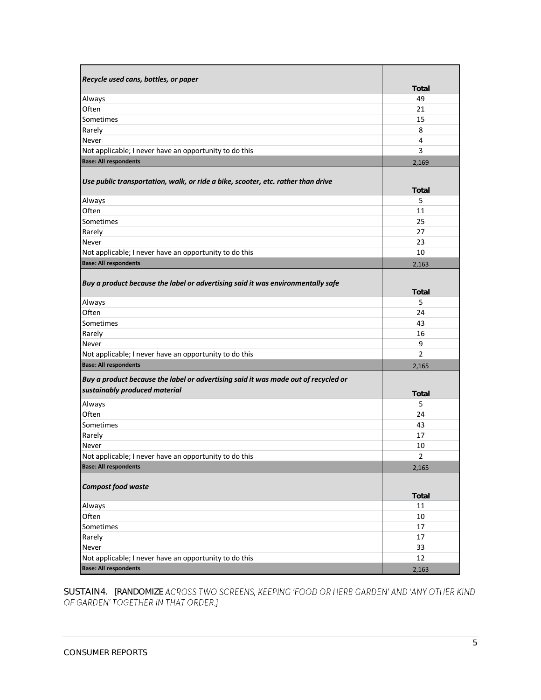| Recycle used cans, bottles, or paper                                                                                |                |
|---------------------------------------------------------------------------------------------------------------------|----------------|
|                                                                                                                     | Total          |
| Always                                                                                                              | 49             |
| Often                                                                                                               | 21             |
| Sometimes                                                                                                           | 15             |
| Rarely                                                                                                              | 8              |
| Never                                                                                                               | 4              |
| Not applicable; I never have an opportunity to do this                                                              | 3              |
| <b>Base: All respondents</b>                                                                                        | 2,169          |
| Use public transportation, walk, or ride a bike, scooter, etc. rather than drive                                    | Total          |
| Always                                                                                                              | 5              |
| Often                                                                                                               | 11             |
| Sometimes                                                                                                           | 25             |
| Rarely                                                                                                              | 27             |
| Never                                                                                                               | 23             |
| Not applicable; I never have an opportunity to do this                                                              | 10             |
| <b>Base: All respondents</b>                                                                                        | 2,163          |
| Buy a product because the label or advertising said it was environmentally safe                                     |                |
|                                                                                                                     | Total          |
| Always                                                                                                              | 5              |
| Often                                                                                                               | 24             |
| Sometimes                                                                                                           | 43             |
| Rarely                                                                                                              | 16             |
| Never                                                                                                               | 9              |
| Not applicable; I never have an opportunity to do this                                                              | $\overline{2}$ |
| <b>Base: All respondents</b>                                                                                        | 2,165          |
| Buy a product because the label or advertising said it was made out of recycled or<br>sustainably produced material |                |
|                                                                                                                     | Total          |
| Always                                                                                                              | 5              |
| Often                                                                                                               | 24             |
| Sometimes                                                                                                           | 43             |
| Rarely                                                                                                              | 17             |
| Never                                                                                                               | 10             |
| Not applicable; I never have an opportunity to do this                                                              | $\overline{2}$ |
| <b>Base: All respondents</b>                                                                                        | 2,165          |
| Compost food waste                                                                                                  | Total          |
| Always                                                                                                              | 11             |
| Often                                                                                                               | 10             |
| Sometimes                                                                                                           | 17             |
| Rarely                                                                                                              | 17             |
| Never                                                                                                               | 33             |
| Not applicable; I never have an opportunity to do this                                                              | 12             |
| <b>Base: All respondents</b>                                                                                        | 2,163          |

SUSTAIN4 . *[RANDOMIZE*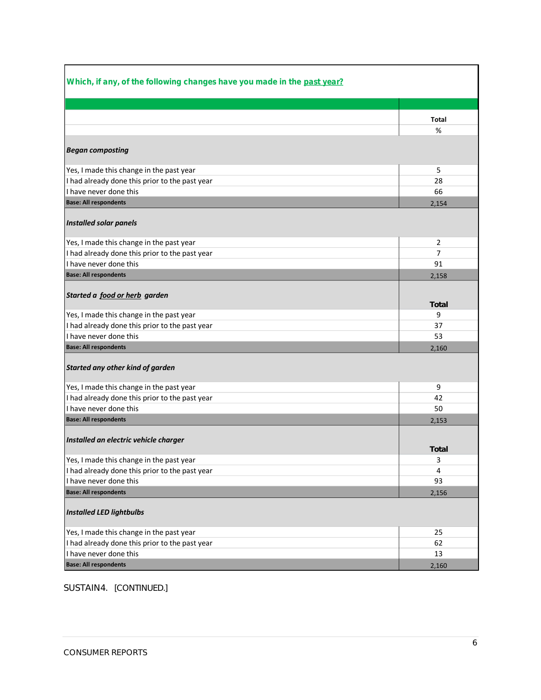| Which, if any, of the following changes have you made in the past year? |       |
|-------------------------------------------------------------------------|-------|
|                                                                         |       |
|                                                                         | Total |
|                                                                         | %     |
| <b>Began composting</b>                                                 |       |
| Yes, I made this change in the past year                                | 5     |
| I had already done this prior to the past year                          | 28    |
| I have never done this                                                  | 66    |
| <b>Base: All respondents</b>                                            | 2,154 |
| <b>Installed solar panels</b>                                           |       |
| Yes, I made this change in the past year                                | 2     |
| I had already done this prior to the past year                          | 7     |
| I have never done this                                                  | 91    |
| <b>Base: All respondents</b>                                            | 2,158 |
| Started a food or herb garden                                           | Total |
| Yes, I made this change in the past year                                | 9     |
| I had already done this prior to the past year                          | 37    |
| I have never done this                                                  | 53    |
| <b>Base: All respondents</b>                                            | 2,160 |
| Started any other kind of garden                                        |       |
| Yes, I made this change in the past year                                | 9     |
| I had already done this prior to the past year                          | 42    |
| I have never done this                                                  | 50    |
| <b>Base: All respondents</b>                                            | 2,153 |
| Installed an electric vehicle charger                                   | Total |
| Yes, I made this change in the past year                                | з     |
| I had already done this prior to the past year                          | 4     |
| I have never done this                                                  | 93    |
| <b>Base: All respondents</b>                                            | 2,156 |
| <b>Installed LED lightbulbs</b>                                         |       |
| Yes, I made this change in the past year                                | 25    |
| I had already done this prior to the past year                          | 62    |
| I have never done this                                                  | 13    |
| <b>Base: All respondents</b>                                            | 2,160 |

#### SUSTAIN4 . *[CONTINUED.]*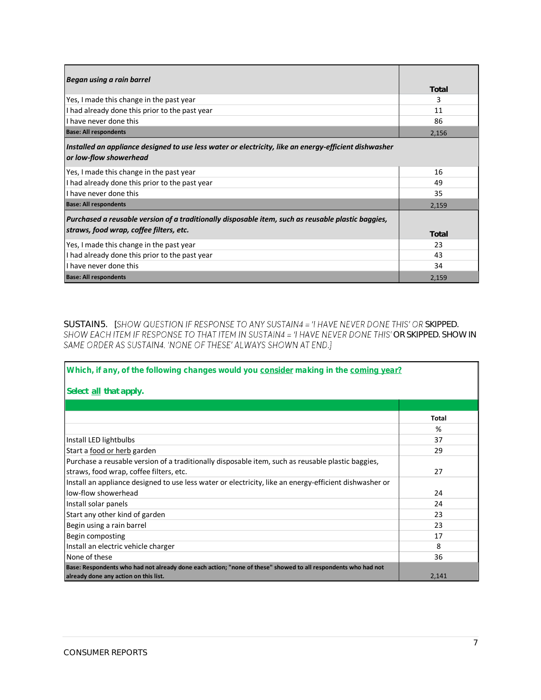| Began using a rain barrel                                                                                                       |       |
|---------------------------------------------------------------------------------------------------------------------------------|-------|
|                                                                                                                                 | Total |
| Yes, I made this change in the past year                                                                                        | 3     |
| I had already done this prior to the past year                                                                                  | 11    |
| I have never done this                                                                                                          | 86    |
| <b>Base: All respondents</b>                                                                                                    | 2,156 |
| Installed an appliance designed to use less water or electricity, like an energy-efficient dishwasher<br>or low-flow showerhead |       |
| Yes, I made this change in the past year                                                                                        | 16    |
| I had already done this prior to the past year                                                                                  | 49    |
| I have never done this                                                                                                          | 35    |
| <b>Base: All respondents</b>                                                                                                    | 2,159 |
| Purchased a reusable version of a traditionally disposable item, such as reusable plastic baggies,                              |       |
| straws, food wrap, coffee filters, etc.                                                                                         | Total |
| Yes, I made this change in the past year                                                                                        | 23    |
| I had already done this prior to the past year                                                                                  | 43    |
| I have never done this                                                                                                          | 34    |
| <b>Base: All respondents</b>                                                                                                    | 2,159 |

SUSTAIN5. *[SHOW QUESTION IF RESPONSE TO ANY SUSTAIN4 = 'I HAVE NEVER DONE THIS' OR SKIPPED.* SHOW EACH ITEM IF RESPONSE TO THAT ITEM IN SUSTAIN4 = 'I HAVE NEVER DONE THIS' OR SKIPPED. SHOW IN SAME ORDER AS SUSTAIN4. 'NONE OF THESE' ALWAYS SHOWN AT END.]

| Which, if any, of the following changes would you consider making in the coming year?                         |               |
|---------------------------------------------------------------------------------------------------------------|---------------|
| Select all that apply.                                                                                        |               |
|                                                                                                               |               |
|                                                                                                               | Total         |
|                                                                                                               | $\frac{9}{6}$ |
| Install LED lightbulbs                                                                                        | 37            |
| Start a food or herb garden                                                                                   | 29            |
| Purchase a reusable version of a traditionally disposable item, such as reusable plastic baggies,             |               |
| straws, food wrap, coffee filters, etc.                                                                       | 27            |
| Install an appliance designed to use less water or electricity, like an energy-efficient dishwasher or        |               |
| low-flow showerhead                                                                                           | 24            |
| Install solar panels                                                                                          | 24            |
| Start any other kind of garden                                                                                | 23            |
| Begin using a rain barrel                                                                                     | 23            |
| Begin composting                                                                                              | 17            |
| Install an electric vehicle charger                                                                           | 8             |
| None of these                                                                                                 | 36            |
| Base: Respondents who had not already done each action; "none of these" showed to all respondents who had not |               |
| already done any action on this list.                                                                         | 2,141         |